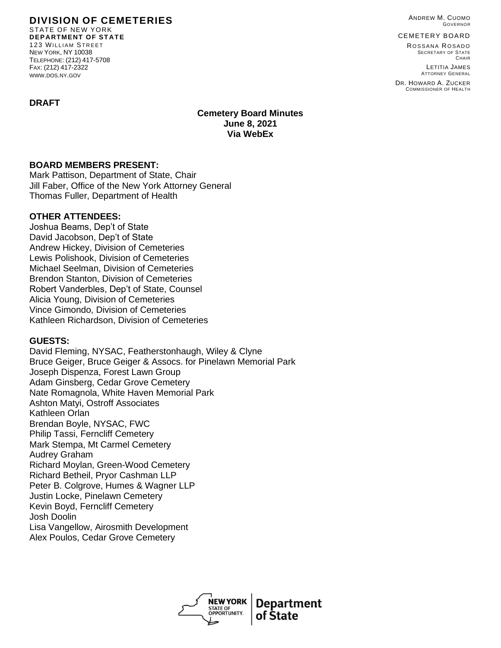ANDREW M. CUOMO GOVERNOR

CEMETERY BOARD

ROSSANA ROSADO SECRETARY OF STATE **CHAIR** 

LETITIA JAMES ATTORNEY GENERAL

DR. HOWARD A. ZUCKER COMMISSIONER OF HEALTH

#### **DIVISION OF CEMETERIES** STATE OF NEW YORK

**DEPARTMENT OF STATE** 123 WILLIAM STREET NEW YORK, NY 10038 TELEPHONE: (212) 417-5708 FAX: (212) 417-2322 WWW.DOS.NY.GOV

## **DRAFT**

**Cemetery Board Minutes June 8, 2021 Via WebEx**

## **BOARD MEMBERS PRESENT:**

Mark Pattison, Department of State, Chair Jill Faber, Office of the New York Attorney General Thomas Fuller, Department of Health

## **OTHER ATTENDEES:**

Joshua Beams, Dep't of State David Jacobson, Dep't of State Andrew Hickey, Division of Cemeteries Lewis Polishook, Division of Cemeteries Michael Seelman, Division of Cemeteries Brendon Stanton, Division of Cemeteries Robert Vanderbles, Dep't of State, Counsel Alicia Young, Division of Cemeteries Vince Gimondo, Division of Cemeteries Kathleen Richardson, Division of Cemeteries

# **GUESTS:**

David Fleming, NYSAC, Featherstonhaugh, Wiley & Clyne Bruce Geiger, Bruce Geiger & Assocs. for Pinelawn Memorial Park Joseph Dispenza, Forest Lawn Group Adam Ginsberg, Cedar Grove Cemetery Nate Romagnola, White Haven Memorial Park Ashton Matyi, Ostroff Associates Kathleen Orlan Brendan Boyle, NYSAC, FWC Philip Tassi, Ferncliff Cemetery Mark Stempa, Mt Carmel Cemetery Audrey Graham Richard Moylan, Green-Wood Cemetery Richard Betheil, Pryor Cashman LLP Peter B. Colgrove, Humes & Wagner LLP Justin Locke, Pinelawn Cemetery Kevin Boyd, Ferncliff Cemetery Josh Doolin Lisa Vangellow, Airosmith Development Alex Poulos, Cedar Grove Cemetery

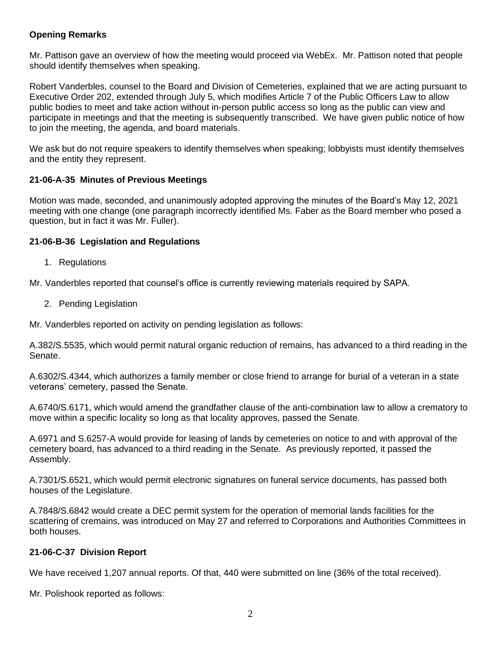## **Opening Remarks**

Mr. Pattison gave an overview of how the meeting would proceed via WebEx. Mr. Pattison noted that people should identify themselves when speaking.

Robert Vanderbles, counsel to the Board and Division of Cemeteries, explained that we are acting pursuant to Executive Order 202, extended through July 5, which modifies Article 7 of the Public Officers Law to allow public bodies to meet and take action without in-person public access so long as the public can view and participate in meetings and that the meeting is subsequently transcribed. We have given public notice of how to join the meeting, the agenda, and board materials.

We ask but do not require speakers to identify themselves when speaking; lobbyists must identify themselves and the entity they represent.

## **21-06-A-35 Minutes of Previous Meetings**

Motion was made, seconded, and unanimously adopted approving the minutes of the Board's May 12, 2021 meeting with one change (one paragraph incorrectly identified Ms. Faber as the Board member who posed a question, but in fact it was Mr. Fuller).

## **21-06-B-36 Legislation and Regulations**

1. Regulations

Mr. Vanderbles reported that counsel's office is currently reviewing materials required by SAPA.

2. Pending Legislation

Mr. Vanderbles reported on activity on pending legislation as follows:

A.382/S.5535, which would permit natural organic reduction of remains, has advanced to a third reading in the Senate.

A.6302/S.4344, which authorizes a family member or close friend to arrange for burial of a veteran in a state veterans' cemetery, passed the Senate.

A.6740/S.6171, which would amend the grandfather clause of the anti-combination law to allow a crematory to move within a specific locality so long as that locality approves, passed the Senate.

A.6971 and S.6257-A would provide for leasing of lands by cemeteries on notice to and with approval of the cemetery board, has advanced to a third reading in the Senate. As previously reported, it passed the Assembly.

A.7301/S.6521, which would permit electronic signatures on funeral service documents, has passed both houses of the Legislature.

A.7848/S.6842 would create a DEC permit system for the operation of memorial lands facilities for the scattering of cremains, was introduced on May 27 and referred to Corporations and Authorities Committees in both houses.

## **21-06-C-37 Division Report**

We have received 1,207 annual reports. Of that, 440 were submitted on line (36% of the total received).

Mr. Polishook reported as follows: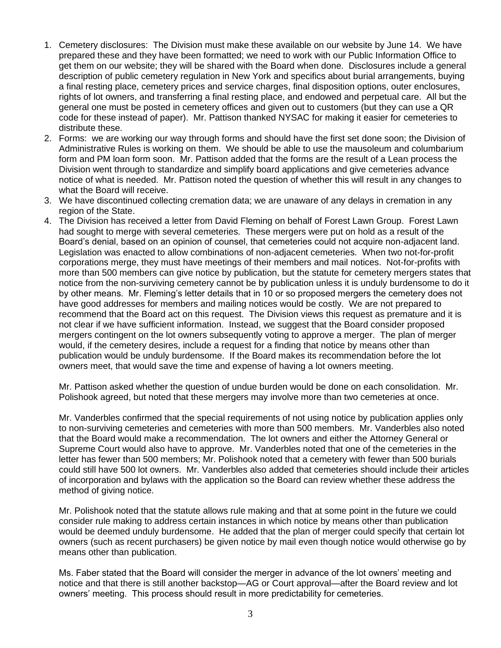- 1. Cemetery disclosures: The Division must make these available on our website by June 14. We have prepared these and they have been formatted; we need to work with our Public Information Office to get them on our website; they will be shared with the Board when done. Disclosures include a general description of public cemetery regulation in New York and specifics about burial arrangements, buying a final resting place, cemetery prices and service charges, final disposition options, outer enclosures, rights of lot owners, and transferring a final resting place, and endowed and perpetual care. All but the general one must be posted in cemetery offices and given out to customers (but they can use a QR code for these instead of paper). Mr. Pattison thanked NYSAC for making it easier for cemeteries to distribute these.
- 2. Forms: we are working our way through forms and should have the first set done soon; the Division of Administrative Rules is working on them. We should be able to use the mausoleum and columbarium form and PM loan form soon. Mr. Pattison added that the forms are the result of a Lean process the Division went through to standardize and simplify board applications and give cemeteries advance notice of what is needed. Mr. Pattison noted the question of whether this will result in any changes to what the Board will receive.
- 3. We have discontinued collecting cremation data; we are unaware of any delays in cremation in any region of the State.
- 4. The Division has received a letter from David Fleming on behalf of Forest Lawn Group. Forest Lawn had sought to merge with several cemeteries. These mergers were put on hold as a result of the Board's denial, based on an opinion of counsel, that cemeteries could not acquire non-adjacent land. Legislation was enacted to allow combinations of non-adjacent cemeteries. When two not-for-profit corporations merge, they must have meetings of their members and mail notices. Not-for-profits with more than 500 members can give notice by publication, but the statute for cemetery mergers states that notice from the non-surviving cemetery cannot be by publication unless it is unduly burdensome to do it by other means. Mr. Fleming's letter details that in 10 or so proposed mergers the cemetery does not have good addresses for members and mailing notices would be costly. We are not prepared to recommend that the Board act on this request. The Division views this request as premature and it is not clear if we have sufficient information. Instead, we suggest that the Board consider proposed mergers contingent on the lot owners subsequently voting to approve a merger. The plan of merger would, if the cemetery desires, include a request for a finding that notice by means other than publication would be unduly burdensome. If the Board makes its recommendation before the lot owners meet, that would save the time and expense of having a lot owners meeting.

Mr. Pattison asked whether the question of undue burden would be done on each consolidation. Mr. Polishook agreed, but noted that these mergers may involve more than two cemeteries at once.

Mr. Vanderbles confirmed that the special requirements of not using notice by publication applies only to non-surviving cemeteries and cemeteries with more than 500 members. Mr. Vanderbles also noted that the Board would make a recommendation. The lot owners and either the Attorney General or Supreme Court would also have to approve. Mr. Vanderbles noted that one of the cemeteries in the letter has fewer than 500 members; Mr. Polishook noted that a cemetery with fewer than 500 burials could still have 500 lot owners. Mr. Vanderbles also added that cemeteries should include their articles of incorporation and bylaws with the application so the Board can review whether these address the method of giving notice.

Mr. Polishook noted that the statute allows rule making and that at some point in the future we could consider rule making to address certain instances in which notice by means other than publication would be deemed unduly burdensome. He added that the plan of merger could specify that certain lot owners (such as recent purchasers) be given notice by mail even though notice would otherwise go by means other than publication.

Ms. Faber stated that the Board will consider the merger in advance of the lot owners' meeting and notice and that there is still another backstop—AG or Court approval—after the Board review and lot owners' meeting. This process should result in more predictability for cemeteries.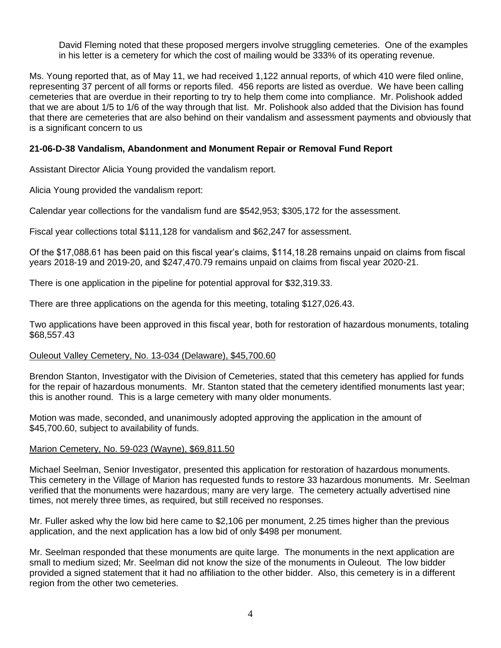David Fleming noted that these proposed mergers involve struggling cemeteries. One of the examples in his letter is a cemetery for which the cost of mailing would be 333% of its operating revenue.

Ms. Young reported that, as of May 11, we had received 1,122 annual reports, of which 410 were filed online, representing 37 percent of all forms or reports filed. 456 reports are listed as overdue. We have been calling cemeteries that are overdue in their reporting to try to help them come into compliance. Mr. Polishook added that we are about 1/5 to 1/6 of the way through that list. Mr. Polishook also added that the Division has found that there are cemeteries that are also behind on their vandalism and assessment payments and obviously that is a significant concern to us

## **21-06-D-38 Vandalism, Abandonment and Monument Repair or Removal Fund Report**

Assistant Director Alicia Young provided the vandalism report.

Alicia Young provided the vandalism report:

Calendar year collections for the vandalism fund are \$542,953; \$305,172 for the assessment.

Fiscal year collections total \$111,128 for vandalism and \$62,247 for assessment.

Of the \$17,088.61 has been paid on this fiscal year's claims, \$114,18.28 remains unpaid on claims from fiscal years 2018-19 and 2019-20, and \$247,470.79 remains unpaid on claims from fiscal year 2020-21.

There is one application in the pipeline for potential approval for \$32,319.33.

There are three applications on the agenda for this meeting, totaling \$127,026.43.

Two applications have been approved in this fiscal year, both for restoration of hazardous monuments, totaling \$68,557.43

#### Ouleout Valley Cemetery, No. 13-034 (Delaware), \$45,700.60

Brendon Stanton, Investigator with the Division of Cemeteries, stated that this cemetery has applied for funds for the repair of hazardous monuments. Mr. Stanton stated that the cemetery identified monuments last year; this is another round. This is a large cemetery with many older monuments.

Motion was made, seconded, and unanimously adopted approving the application in the amount of \$45,700.60, subject to availability of funds.

## Marion Cemetery, No. 59-023 (Wayne), \$69,811.50

Michael Seelman, Senior Investigator, presented this application for restoration of hazardous monuments. This cemetery in the Village of Marion has requested funds to restore 33 hazardous monuments. Mr. Seelman verified that the monuments were hazardous; many are very large. The cemetery actually advertised nine times, not merely three times, as required, but still received no responses.

Mr. Fuller asked why the low bid here came to \$2,106 per monument, 2.25 times higher than the previous application, and the next application has a low bid of only \$498 per monument.

Mr. Seelman responded that these monuments are quite large. The monuments in the next application are small to medium sized; Mr. Seelman did not know the size of the monuments in Ouleout. The low bidder provided a signed statement that it had no affiliation to the other bidder. Also, this cemetery is in a different region from the other two cemeteries.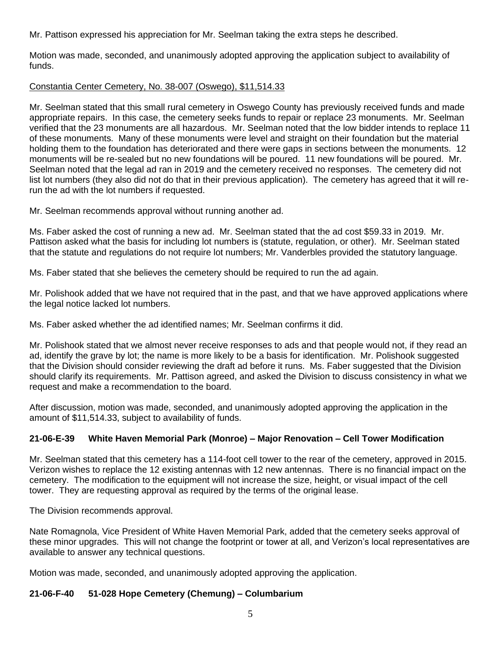Mr. Pattison expressed his appreciation for Mr. Seelman taking the extra steps he described.

Motion was made, seconded, and unanimously adopted approving the application subject to availability of funds.

## Constantia Center Cemetery, No. 38-007 (Oswego), \$11,514.33

Mr. Seelman stated that this small rural cemetery in Oswego County has previously received funds and made appropriate repairs. In this case, the cemetery seeks funds to repair or replace 23 monuments. Mr. Seelman verified that the 23 monuments are all hazardous. Mr. Seelman noted that the low bidder intends to replace 11 of these monuments. Many of these monuments were level and straight on their foundation but the material holding them to the foundation has deteriorated and there were gaps in sections between the monuments. 12 monuments will be re-sealed but no new foundations will be poured. 11 new foundations will be poured. Mr. Seelman noted that the legal ad ran in 2019 and the cemetery received no responses. The cemetery did not list lot numbers (they also did not do that in their previous application). The cemetery has agreed that it will rerun the ad with the lot numbers if requested.

Mr. Seelman recommends approval without running another ad.

Ms. Faber asked the cost of running a new ad. Mr. Seelman stated that the ad cost \$59.33 in 2019. Mr. Pattison asked what the basis for including lot numbers is (statute, regulation, or other). Mr. Seelman stated that the statute and regulations do not require lot numbers; Mr. Vanderbles provided the statutory language.

Ms. Faber stated that she believes the cemetery should be required to run the ad again.

Mr. Polishook added that we have not required that in the past, and that we have approved applications where the legal notice lacked lot numbers.

Ms. Faber asked whether the ad identified names; Mr. Seelman confirms it did.

Mr. Polishook stated that we almost never receive responses to ads and that people would not, if they read an ad, identify the grave by lot; the name is more likely to be a basis for identification. Mr. Polishook suggested that the Division should consider reviewing the draft ad before it runs. Ms. Faber suggested that the Division should clarify its requirements. Mr. Pattison agreed, and asked the Division to discuss consistency in what we request and make a recommendation to the board.

After discussion, motion was made, seconded, and unanimously adopted approving the application in the amount of \$11,514.33, subject to availability of funds.

# **21-06-E-39 White Haven Memorial Park (Monroe) – Major Renovation – Cell Tower Modification**

Mr. Seelman stated that this cemetery has a 114-foot cell tower to the rear of the cemetery, approved in 2015. Verizon wishes to replace the 12 existing antennas with 12 new antennas. There is no financial impact on the cemetery. The modification to the equipment will not increase the size, height, or visual impact of the cell tower. They are requesting approval as required by the terms of the original lease.

The Division recommends approval.

Nate Romagnola, Vice President of White Haven Memorial Park, added that the cemetery seeks approval of these minor upgrades. This will not change the footprint or tower at all, and Verizon's local representatives are available to answer any technical questions.

Motion was made, seconded, and unanimously adopted approving the application.

# **21-06-F-40 51-028 Hope Cemetery (Chemung) – Columbarium**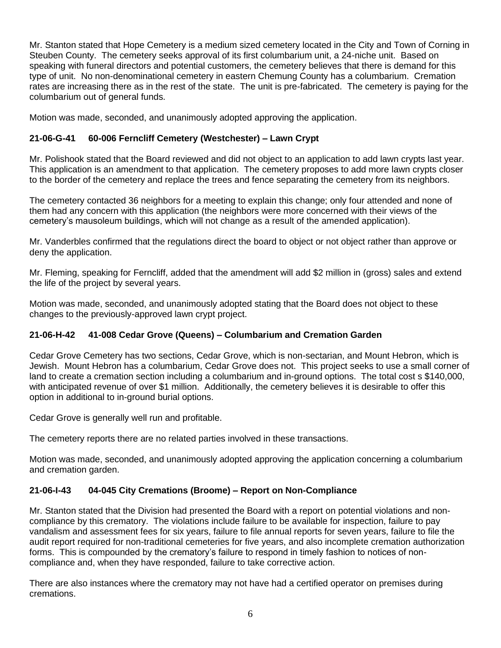Mr. Stanton stated that Hope Cemetery is a medium sized cemetery located in the City and Town of Corning in Steuben County. The cemetery seeks approval of its first columbarium unit, a 24-niche unit. Based on speaking with funeral directors and potential customers, the cemetery believes that there is demand for this type of unit. No non-denominational cemetery in eastern Chemung County has a columbarium. Cremation rates are increasing there as in the rest of the state. The unit is pre-fabricated. The cemetery is paying for the columbarium out of general funds.

Motion was made, seconded, and unanimously adopted approving the application.

# **21-06-G-41 60-006 Ferncliff Cemetery (Westchester) – Lawn Crypt**

Mr. Polishook stated that the Board reviewed and did not object to an application to add lawn crypts last year. This application is an amendment to that application. The cemetery proposes to add more lawn crypts closer to the border of the cemetery and replace the trees and fence separating the cemetery from its neighbors.

The cemetery contacted 36 neighbors for a meeting to explain this change; only four attended and none of them had any concern with this application (the neighbors were more concerned with their views of the cemetery's mausoleum buildings, which will not change as a result of the amended application).

Mr. Vanderbles confirmed that the regulations direct the board to object or not object rather than approve or deny the application.

Mr. Fleming, speaking for Ferncliff, added that the amendment will add \$2 million in (gross) sales and extend the life of the project by several years.

Motion was made, seconded, and unanimously adopted stating that the Board does not object to these changes to the previously-approved lawn crypt project.

# **21-06-H-42 41-008 Cedar Grove (Queens) – Columbarium and Cremation Garden**

Cedar Grove Cemetery has two sections, Cedar Grove, which is non-sectarian, and Mount Hebron, which is Jewish. Mount Hebron has a columbarium, Cedar Grove does not. This project seeks to use a small corner of land to create a cremation section including a columbarium and in-ground options. The total cost s \$140,000, with anticipated revenue of over \$1 million. Additionally, the cemetery believes it is desirable to offer this option in additional to in-ground burial options.

Cedar Grove is generally well run and profitable.

The cemetery reports there are no related parties involved in these transactions.

Motion was made, seconded, and unanimously adopted approving the application concerning a columbarium and cremation garden.

# **21-06-I-43 04-045 City Cremations (Broome) – Report on Non-Compliance**

Mr. Stanton stated that the Division had presented the Board with a report on potential violations and noncompliance by this crematory. The violations include failure to be available for inspection, failure to pay vandalism and assessment fees for six years, failure to file annual reports for seven years, failure to file the audit report required for non-traditional cemeteries for five years, and also incomplete cremation authorization forms. This is compounded by the crematory's failure to respond in timely fashion to notices of noncompliance and, when they have responded, failure to take corrective action.

There are also instances where the crematory may not have had a certified operator on premises during cremations.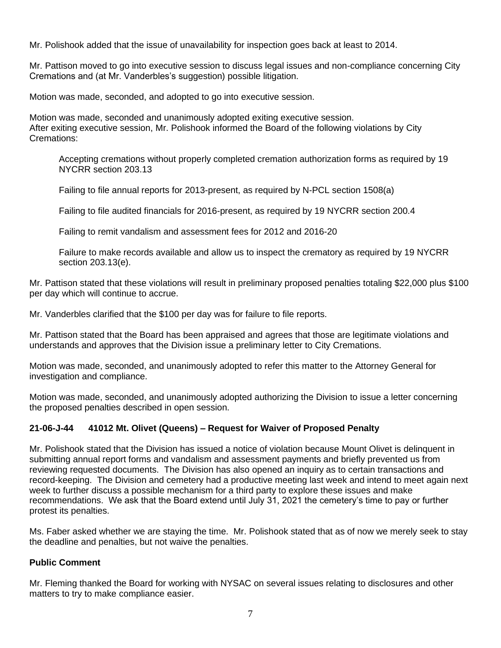Mr. Polishook added that the issue of unavailability for inspection goes back at least to 2014.

Mr. Pattison moved to go into executive session to discuss legal issues and non-compliance concerning City Cremations and (at Mr. Vanderbles's suggestion) possible litigation.

Motion was made, seconded, and adopted to go into executive session.

Motion was made, seconded and unanimously adopted exiting executive session. After exiting executive session, Mr. Polishook informed the Board of the following violations by City Cremations:

Accepting cremations without properly completed cremation authorization forms as required by 19 NYCRR section 203.13

Failing to file annual reports for 2013-present, as required by N-PCL section 1508(a)

Failing to file audited financials for 2016-present, as required by 19 NYCRR section 200.4

Failing to remit vandalism and assessment fees for 2012 and 2016-20

Failure to make records available and allow us to inspect the crematory as required by 19 NYCRR section 203.13(e).

Mr. Pattison stated that these violations will result in preliminary proposed penalties totaling \$22,000 plus \$100 per day which will continue to accrue.

Mr. Vanderbles clarified that the \$100 per day was for failure to file reports.

Mr. Pattison stated that the Board has been appraised and agrees that those are legitimate violations and understands and approves that the Division issue a preliminary letter to City Cremations.

Motion was made, seconded, and unanimously adopted to refer this matter to the Attorney General for investigation and compliance.

Motion was made, seconded, and unanimously adopted authorizing the Division to issue a letter concerning the proposed penalties described in open session.

## **21-06-J-44 41012 Mt. Olivet (Queens) – Request for Waiver of Proposed Penalty**

Mr. Polishook stated that the Division has issued a notice of violation because Mount Olivet is delinquent in submitting annual report forms and vandalism and assessment payments and briefly prevented us from reviewing requested documents. The Division has also opened an inquiry as to certain transactions and record-keeping. The Division and cemetery had a productive meeting last week and intend to meet again next week to further discuss a possible mechanism for a third party to explore these issues and make recommendations. We ask that the Board extend until July 31, 2021 the cemetery's time to pay or further protest its penalties.

Ms. Faber asked whether we are staying the time. Mr. Polishook stated that as of now we merely seek to stay the deadline and penalties, but not waive the penalties.

## **Public Comment**

Mr. Fleming thanked the Board for working with NYSAC on several issues relating to disclosures and other matters to try to make compliance easier.